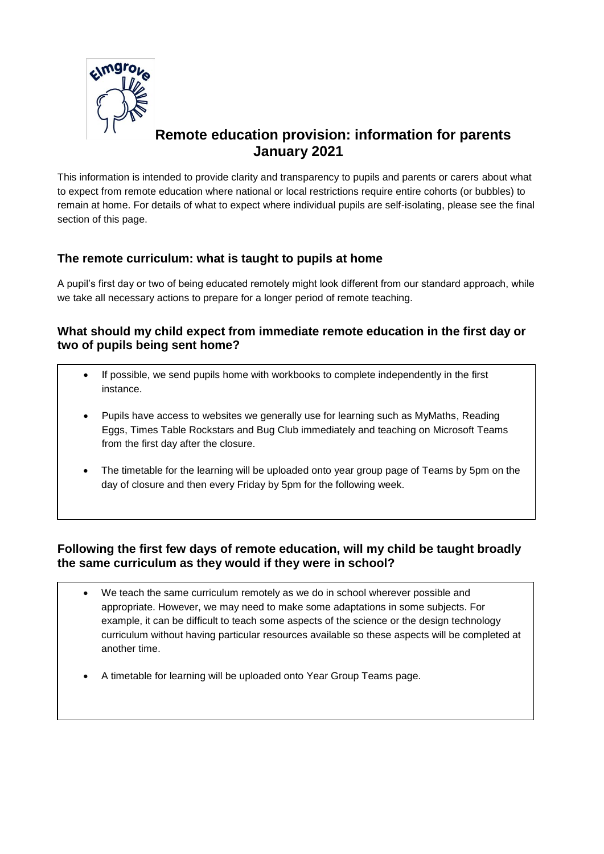

# **Remote education provision: information for parents January 2021**

This information is intended to provide clarity and transparency to pupils and parents or carers about what to expect from remote education where national or local restrictions require entire cohorts (or bubbles) to remain at home. For details of what to expect where individual pupils are self-isolating, please see the final section of this page.

# **The remote curriculum: what is taught to pupils at home**

A pupil's first day or two of being educated remotely might look different from our standard approach, while we take all necessary actions to prepare for a longer period of remote teaching.

## **What should my child expect from immediate remote education in the first day or two of pupils being sent home?**

- If possible, we send pupils home with workbooks to complete independently in the first instance.
- Pupils have access to websites we generally use for learning such as MyMaths, Reading Eggs, Times Table Rockstars and Bug Club immediately and teaching on Microsoft Teams from the first day after the closure.
- The timetable for the learning will be uploaded onto year group page of Teams by 5pm on the day of closure and then every Friday by 5pm for the following week.

# **Following the first few days of remote education, will my child be taught broadly the same curriculum as they would if they were in school?**

- We teach the same curriculum remotely as we do in school wherever possible and appropriate. However, we may need to make some adaptations in some subjects. For example, it can be difficult to teach some aspects of the science or the design technology curriculum without having particular resources available so these aspects will be completed at another time.
- A timetable for learning will be uploaded onto Year Group Teams page.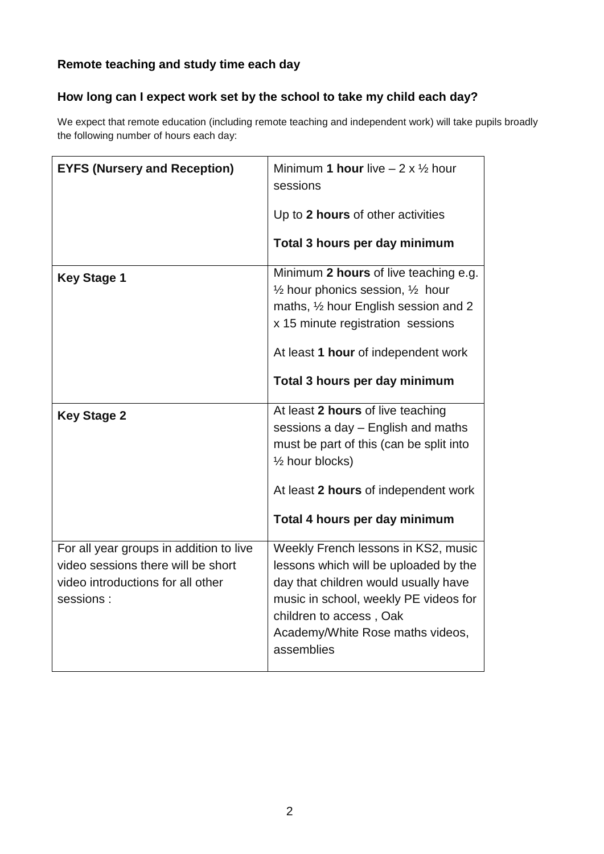# **Remote teaching and study time each day**

# **How long can I expect work set by the school to take my child each day?**

We expect that remote education (including remote teaching and independent work) will take pupils broadly the following number of hours each day:

| <b>EYFS (Nursery and Reception)</b>                                                                                             | Minimum 1 hour live $-2 \times \frac{1}{2}$ hour<br>sessions<br>Up to 2 hours of other activities<br>Total 3 hours per day minimum                                                                                                                    |
|---------------------------------------------------------------------------------------------------------------------------------|-------------------------------------------------------------------------------------------------------------------------------------------------------------------------------------------------------------------------------------------------------|
| <b>Key Stage 1</b>                                                                                                              | Minimum 2 hours of live teaching e.g.<br>$\frac{1}{2}$ hour phonics session, $\frac{1}{2}$ hour<br>maths, 1/2 hour English session and 2<br>x 15 minute registration sessions<br>At least 1 hour of independent work<br>Total 3 hours per day minimum |
| <b>Key Stage 2</b>                                                                                                              | At least 2 hours of live teaching<br>sessions a day - English and maths<br>must be part of this (can be split into<br>1/ <sub>2</sub> hour blocks)<br>At least 2 hours of independent work<br>Total 4 hours per day minimum                           |
| For all year groups in addition to live<br>video sessions there will be short<br>video introductions for all other<br>sessions: | Weekly French lessons in KS2, music<br>lessons which will be uploaded by the<br>day that children would usually have<br>music in school, weekly PE videos for<br>children to access, Oak<br>Academy/White Rose maths videos,<br>assemblies            |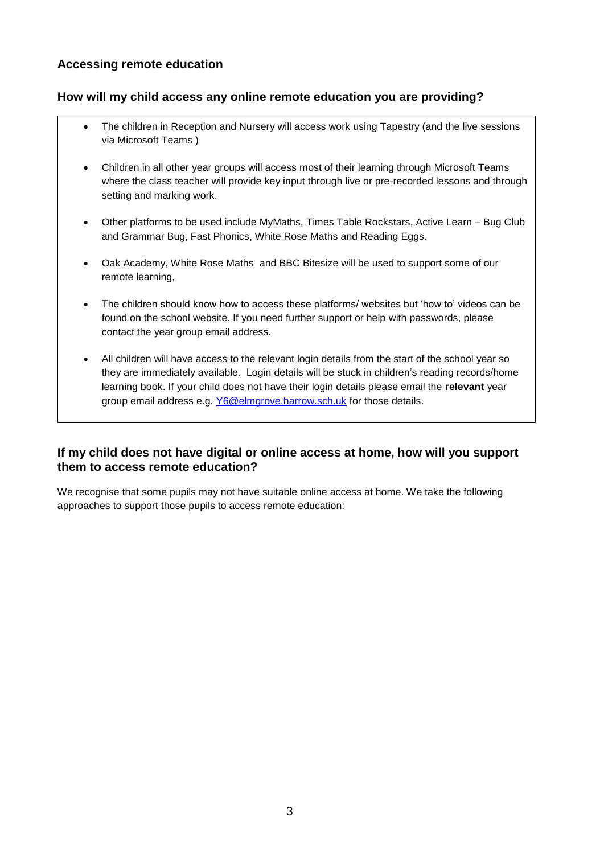## **Accessing remote education**

## **How will my child access any online remote education you are providing?**

- The children in Reception and Nursery will access work using Tapestry (and the live sessions via Microsoft Teams )
- Children in all other year groups will access most of their learning through Microsoft Teams where the class teacher will provide key input through live or pre-recorded lessons and through setting and marking work.
- Other platforms to be used include MyMaths, Times Table Rockstars, Active Learn Bug Club and Grammar Bug, Fast Phonics, White Rose Maths and Reading Eggs.
- Oak Academy, White Rose Maths and BBC Bitesize will be used to support some of our remote learning,
- The children should know how to access these platforms/ websites but 'how to' videos can be found on the school website. If you need further support or help with passwords, please contact the year group email address.
- All children will have access to the relevant login details from the start of the school year so they are immediately available. Login details will be stuck in children's reading records/home learning book. If your child does not have their login details please email the **relevant** year group email address e.g. [Y6@elmgrove.harrow.sch.uk](mailto:Y6@elmgrove.harrow.sch.uk) for those details.

## **If my child does not have digital or online access at home, how will you support them to access remote education?**

We recognise that some pupils may not have suitable online access at home. We take the following approaches to support those pupils to access remote education: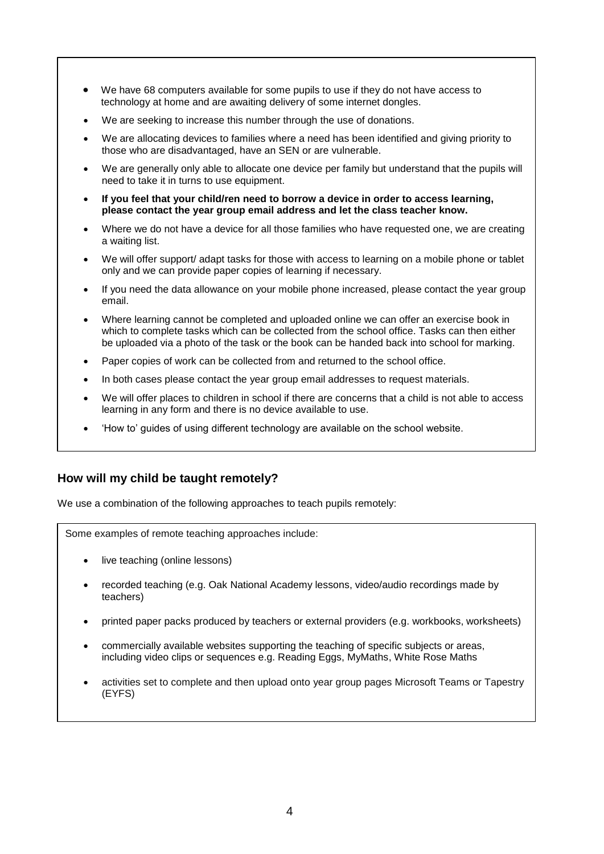- We have 68 computers available for some pupils to use if they do not have access to technology at home and are awaiting delivery of some internet dongles.
- We are seeking to increase this number through the use of donations.
- We are allocating devices to families where a need has been identified and giving priority to those who are disadvantaged, have an SEN or are vulnerable.
- We are generally only able to allocate one device per family but understand that the pupils will need to take it in turns to use equipment.
- **If you feel that your child/ren need to borrow a device in order to access learning, please contact the year group email address and let the class teacher know.**
- Where we do not have a device for all those families who have requested one, we are creating a waiting list.
- We will offer support/ adapt tasks for those with access to learning on a mobile phone or tablet only and we can provide paper copies of learning if necessary.
- If you need the data allowance on your mobile phone increased, please contact the year group email.
- Where learning cannot be completed and uploaded online we can offer an exercise book in which to complete tasks which can be collected from the school office. Tasks can then either be uploaded via a photo of the task or the book can be handed back into school for marking.
- Paper copies of work can be collected from and returned to the school office.
- In both cases please contact the year group email addresses to request materials.
- We will offer places to children in school if there are concerns that a child is not able to access learning in any form and there is no device available to use.
- 'How to' guides of using different technology are available on the school website.

#### **How will my child be taught remotely?**

We use a combination of the following approaches to teach pupils remotely:

Some examples of remote teaching approaches include:

- live teaching (online lessons)
- recorded teaching (e.g. Oak National Academy lessons, video/audio recordings made by teachers)
- printed paper packs produced by teachers or external providers (e.g. workbooks, worksheets)
- commercially available websites supporting the teaching of specific subjects or areas, including video clips or sequences e.g. Reading Eggs, MyMaths, White Rose Maths
- activities set to complete and then upload onto year group pages Microsoft Teams or Tapestry (EYFS)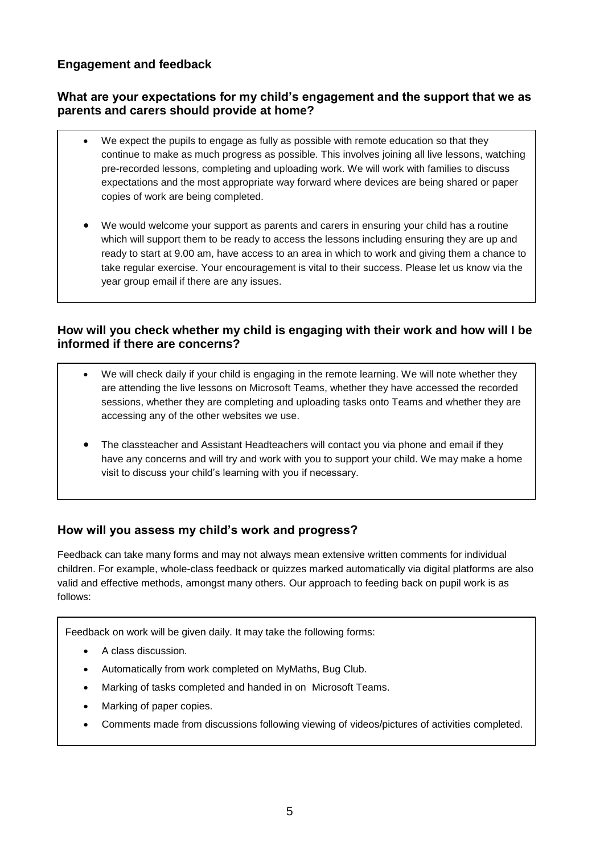## **Engagement and feedback**

## **What are your expectations for my child's engagement and the support that we as parents and carers should provide at home?**

- We expect the pupils to engage as fully as possible with remote education so that they continue to make as much progress as possible. This involves joining all live lessons, watching pre-recorded lessons, completing and uploading work. We will work with families to discuss expectations and the most appropriate way forward where devices are being shared or paper copies of work are being completed.
- We would welcome your support as parents and carers in ensuring your child has a routine which will support them to be ready to access the lessons including ensuring they are up and ready to start at 9.00 am, have access to an area in which to work and giving them a chance to take regular exercise. Your encouragement is vital to their success. Please let us know via the year group email if there are any issues.

## **How will you check whether my child is engaging with their work and how will I be informed if there are concerns?**

- We will check daily if your child is engaging in the remote learning. We will note whether they are attending the live lessons on Microsoft Teams, whether they have accessed the recorded sessions, whether they are completing and uploading tasks onto Teams and whether they are accessing any of the other websites we use.
- The classteacher and Assistant Headteachers will contact you via phone and email if they have any concerns and will try and work with you to support your child. We may make a home visit to discuss your child's learning with you if necessary.

# **How will you assess my child's work and progress?**

Feedback can take many forms and may not always mean extensive written comments for individual children. For example, whole-class feedback or quizzes marked automatically via digital platforms are also valid and effective methods, amongst many others. Our approach to feeding back on pupil work is as follows:

Feedback on work will be given daily. It may take the following forms:

- A class discussion.
- Automatically from work completed on MyMaths, Bug Club.
- Marking of tasks completed and handed in on Microsoft Teams.
- Marking of paper copies.
- Comments made from discussions following viewing of videos/pictures of activities completed.